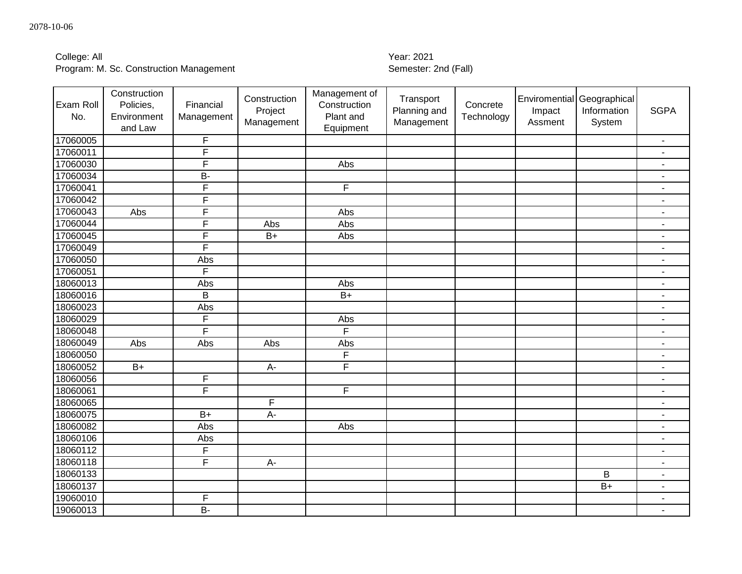| Exam Roll<br>No. | Construction<br>Policies,<br>Environment<br>and Law | Financial<br>Management | Construction<br>Project<br>Management | Management of<br>Construction<br>Plant and<br>Equipment | Transport<br>Planning and<br>Management | Concrete<br>Technology | Enviromential Geographical<br>Impact<br>Assment | Information<br>System | <b>SGPA</b>              |
|------------------|-----------------------------------------------------|-------------------------|---------------------------------------|---------------------------------------------------------|-----------------------------------------|------------------------|-------------------------------------------------|-----------------------|--------------------------|
| 17060005         |                                                     | $\overline{F}$          |                                       |                                                         |                                         |                        |                                                 |                       | $\blacksquare$           |
| 17060011         |                                                     | $\overline{\mathsf{F}}$ |                                       |                                                         |                                         |                        |                                                 |                       | $\blacksquare$           |
| 17060030         |                                                     | $\overline{F}$          |                                       | Abs                                                     |                                         |                        |                                                 |                       | $\overline{\phantom{a}}$ |
| 17060034         |                                                     | <b>B-</b>               |                                       |                                                         |                                         |                        |                                                 |                       | $\blacksquare$           |
| 17060041         |                                                     | $\overline{F}$          |                                       | F                                                       |                                         |                        |                                                 |                       | $\blacksquare$           |
| 17060042         |                                                     | F                       |                                       |                                                         |                                         |                        |                                                 |                       | ä,                       |
| 17060043         | Abs                                                 | $\overline{\mathsf{F}}$ |                                       | Abs                                                     |                                         |                        |                                                 |                       | $\blacksquare$           |
| 17060044         |                                                     | $\overline{F}$          | Abs                                   | Abs                                                     |                                         |                        |                                                 |                       | $\blacksquare$           |
| 17060045         |                                                     | F                       | $B+$                                  | Abs                                                     |                                         |                        |                                                 |                       | $\overline{\phantom{a}}$ |
| 17060049         |                                                     | F                       |                                       |                                                         |                                         |                        |                                                 |                       | $\overline{a}$           |
| 17060050         |                                                     | Abs                     |                                       |                                                         |                                         |                        |                                                 |                       | $\blacksquare$           |
| 17060051         |                                                     | $\overline{F}$          |                                       |                                                         |                                         |                        |                                                 |                       | $\sim$                   |
| 18060013         |                                                     | Abs                     |                                       | Abs                                                     |                                         |                        |                                                 |                       | $\blacksquare$           |
| 18060016         |                                                     | B                       |                                       | $B+$                                                    |                                         |                        |                                                 |                       | $\blacksquare$           |
| 18060023         |                                                     | Abs                     |                                       |                                                         |                                         |                        |                                                 |                       | $\blacksquare$           |
| 18060029         |                                                     | F                       |                                       | Abs                                                     |                                         |                        |                                                 |                       | $\blacksquare$           |
| 18060048         |                                                     | $\overline{\mathsf{F}}$ |                                       | F                                                       |                                         |                        |                                                 |                       | $\overline{a}$           |
| 18060049         | Abs                                                 | Abs                     | Abs                                   | Abs                                                     |                                         |                        |                                                 |                       | ä,                       |
| 18060050         |                                                     |                         |                                       | F                                                       |                                         |                        |                                                 |                       | $\blacksquare$           |
| 18060052         | $B+$                                                |                         | A-                                    | F                                                       |                                         |                        |                                                 |                       | $\blacksquare$           |
| 18060056         |                                                     | F                       |                                       |                                                         |                                         |                        |                                                 |                       | $\blacksquare$           |
| 18060061         |                                                     | F                       |                                       | F                                                       |                                         |                        |                                                 |                       | $\blacksquare$           |
| 18060065         |                                                     |                         | F                                     |                                                         |                                         |                        |                                                 |                       | $\overline{a}$           |
| 18060075         |                                                     | $\overline{B+}$         | $\overline{A}$ -                      |                                                         |                                         |                        |                                                 |                       | $\overline{a}$           |
| 18060082         |                                                     | Abs                     |                                       | Abs                                                     |                                         |                        |                                                 |                       | ÷                        |
| 18060106         |                                                     | Abs                     |                                       |                                                         |                                         |                        |                                                 |                       | $\blacksquare$           |
| 18060112         |                                                     | F                       |                                       |                                                         |                                         |                        |                                                 |                       | $\blacksquare$           |
| 18060118         |                                                     | $\overline{F}$          | $A -$                                 |                                                         |                                         |                        |                                                 |                       | $\blacksquare$           |
| 18060133         |                                                     |                         |                                       |                                                         |                                         |                        |                                                 | B                     | $\sim$                   |
| 18060137         |                                                     |                         |                                       |                                                         |                                         |                        |                                                 | $B+$                  | $\overline{a}$           |
| 19060010         |                                                     | F                       |                                       |                                                         |                                         |                        |                                                 |                       | $\blacksquare$           |
| 19060013         |                                                     | $B -$                   |                                       |                                                         |                                         |                        |                                                 |                       | $\sim$                   |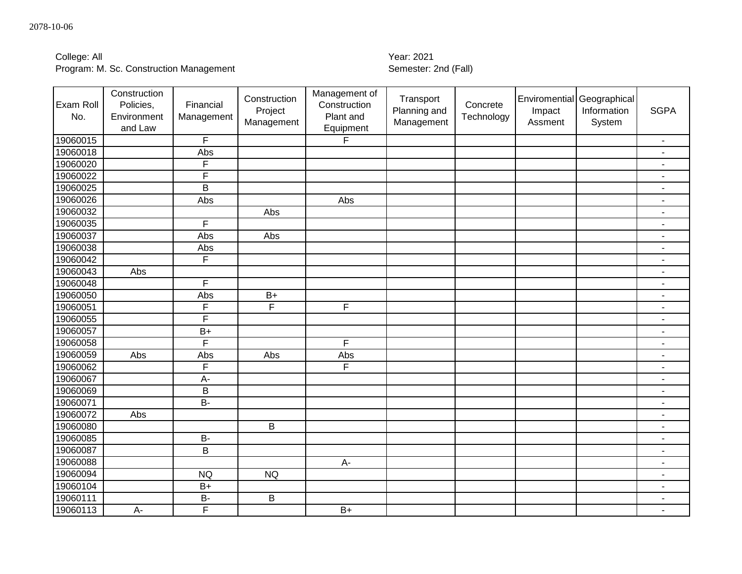| Exam Roll<br>No. | Construction<br>Policies,<br>Environment<br>and Law | Financial<br>Management | Construction<br>Project<br>Management | Management of<br>Construction<br>Plant and<br>Equipment | Transport<br>Planning and<br>Management | Concrete<br>Technology | Enviromential Geographical<br>Impact<br>Assment | Information<br>System | <b>SGPA</b>              |
|------------------|-----------------------------------------------------|-------------------------|---------------------------------------|---------------------------------------------------------|-----------------------------------------|------------------------|-------------------------------------------------|-----------------------|--------------------------|
| 19060015         |                                                     | $\overline{\mathsf{F}}$ |                                       | F                                                       |                                         |                        |                                                 |                       | $\blacksquare$           |
| 19060018         |                                                     | Abs                     |                                       |                                                         |                                         |                        |                                                 |                       | $\overline{a}$           |
| 19060020         |                                                     | F                       |                                       |                                                         |                                         |                        |                                                 |                       | $\overline{\phantom{a}}$ |
| 19060022         |                                                     | $\overline{\mathsf{F}}$ |                                       |                                                         |                                         |                        |                                                 |                       | $\blacksquare$           |
| 19060025         |                                                     | B                       |                                       |                                                         |                                         |                        |                                                 |                       | $\overline{a}$           |
| 19060026         |                                                     | Abs                     |                                       | Abs                                                     |                                         |                        |                                                 |                       | ÷                        |
| 19060032         |                                                     |                         | Abs                                   |                                                         |                                         |                        |                                                 |                       | ÷                        |
| 19060035         |                                                     | F                       |                                       |                                                         |                                         |                        |                                                 |                       | $\blacksquare$           |
| 19060037         |                                                     | Abs                     | Abs                                   |                                                         |                                         |                        |                                                 |                       | $\blacksquare$           |
| 19060038         |                                                     | Abs                     |                                       |                                                         |                                         |                        |                                                 |                       | $\blacksquare$           |
| 19060042         |                                                     | F                       |                                       |                                                         |                                         |                        |                                                 |                       | $\sim$                   |
| 19060043         | Abs                                                 |                         |                                       |                                                         |                                         |                        |                                                 |                       | $\sim$                   |
| 19060048         |                                                     | F                       |                                       |                                                         |                                         |                        |                                                 |                       | $\blacksquare$           |
| 19060050         |                                                     | Abs                     | $B+$                                  |                                                         |                                         |                        |                                                 |                       | ÷,                       |
| 19060051         |                                                     | $\overline{\mathsf{F}}$ | F                                     | F                                                       |                                         |                        |                                                 |                       | $\blacksquare$           |
| 19060055         |                                                     | F                       |                                       |                                                         |                                         |                        |                                                 |                       | $\overline{\phantom{a}}$ |
| 19060057         |                                                     | $B+$                    |                                       |                                                         |                                         |                        |                                                 |                       | $\blacksquare$           |
| 19060058         |                                                     | $\overline{\mathsf{F}}$ |                                       | F                                                       |                                         |                        |                                                 |                       | $\overline{a}$           |
| 19060059         | Abs                                                 | Abs                     | Abs                                   | Abs                                                     |                                         |                        |                                                 |                       | $\blacksquare$           |
| 19060062         |                                                     | $\overline{\mathsf{F}}$ |                                       | F                                                       |                                         |                        |                                                 |                       | $\blacksquare$           |
| 19060067         |                                                     | A-                      |                                       |                                                         |                                         |                        |                                                 |                       | $\blacksquare$           |
| 19060069         |                                                     | B                       |                                       |                                                         |                                         |                        |                                                 |                       | $\blacksquare$           |
| 19060071         |                                                     | $\overline{B}$          |                                       |                                                         |                                         |                        |                                                 |                       | $\blacksquare$           |
| 19060072         | Abs                                                 |                         |                                       |                                                         |                                         |                        |                                                 |                       | $\sim$                   |
| 19060080         |                                                     |                         | B                                     |                                                         |                                         |                        |                                                 |                       | $\overline{a}$           |
| 19060085         |                                                     | <b>B-</b>               |                                       |                                                         |                                         |                        |                                                 |                       | ÷,                       |
| 19060087         |                                                     | B                       |                                       |                                                         |                                         |                        |                                                 |                       | $\sim$                   |
| 19060088         |                                                     |                         |                                       | $A-$                                                    |                                         |                        |                                                 |                       | $\overline{a}$           |
| 19060094         |                                                     | <b>NQ</b>               | <b>NQ</b>                             |                                                         |                                         |                        |                                                 |                       | $\overline{\phantom{a}}$ |
| 19060104         |                                                     | $B+$                    |                                       |                                                         |                                         |                        |                                                 |                       | $\blacksquare$           |
| 19060111         |                                                     | $B -$                   | B                                     |                                                         |                                         |                        |                                                 |                       | $\blacksquare$           |
| 19060113         | A-                                                  | F                       |                                       | $B+$                                                    |                                         |                        |                                                 |                       | $\sim$                   |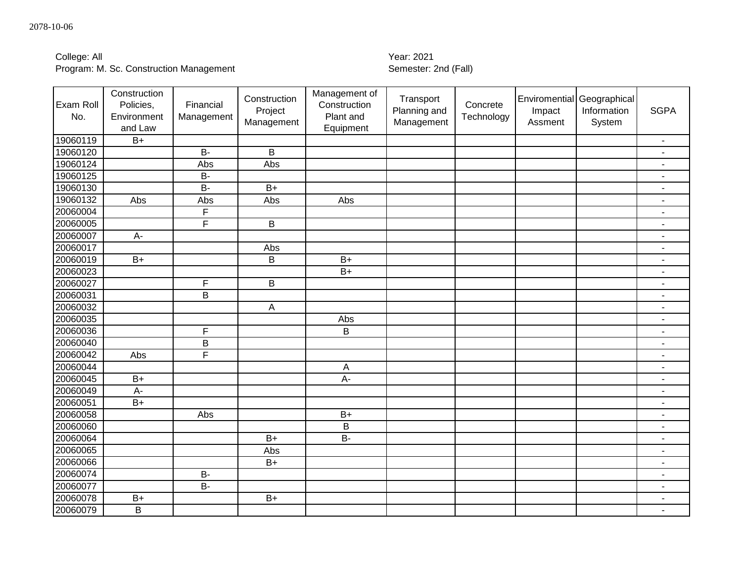| Exam Roll<br>No. | Construction<br>Policies,<br>Environment<br>and Law | Financial<br>Management | Construction<br>Project<br>Management | Management of<br>Construction<br>Plant and<br>Equipment | Transport<br>Planning and<br>Management | Concrete<br>Technology | Enviromential Geographical<br>Impact<br>Assment | Information<br>System | <b>SGPA</b>    |
|------------------|-----------------------------------------------------|-------------------------|---------------------------------------|---------------------------------------------------------|-----------------------------------------|------------------------|-------------------------------------------------|-----------------------|----------------|
| 19060119         | $B+$                                                |                         |                                       |                                                         |                                         |                        |                                                 |                       | $\blacksquare$ |
| 19060120         |                                                     | $B -$                   | $\mathsf B$                           |                                                         |                                         |                        |                                                 |                       | $\blacksquare$ |
| 19060124         |                                                     | Abs                     | Abs                                   |                                                         |                                         |                        |                                                 |                       | $\blacksquare$ |
| 19060125         |                                                     | <b>B-</b>               |                                       |                                                         |                                         |                        |                                                 |                       | $\blacksquare$ |
| 19060130         |                                                     | $B -$                   | $B+$                                  |                                                         |                                         |                        |                                                 |                       | $\blacksquare$ |
| 19060132         | Abs                                                 | Abs                     | Abs                                   | Abs                                                     |                                         |                        |                                                 |                       | $\blacksquare$ |
| 20060004         |                                                     | $\overline{F}$          |                                       |                                                         |                                         |                        |                                                 |                       | $\blacksquare$ |
| 20060005         |                                                     | F                       | B                                     |                                                         |                                         |                        |                                                 |                       | $\blacksquare$ |
| 20060007         | A-                                                  |                         |                                       |                                                         |                                         |                        |                                                 |                       | $\blacksquare$ |
| 20060017         |                                                     |                         | Abs                                   |                                                         |                                         |                        |                                                 |                       | $\blacksquare$ |
| 20060019         | $\overline{B+}$                                     |                         | $\overline{B}$                        | $B+$                                                    |                                         |                        |                                                 |                       | $\overline{a}$ |
| 20060023         |                                                     |                         |                                       | $B+$                                                    |                                         |                        |                                                 |                       | $\blacksquare$ |
| 20060027         |                                                     | F                       | B                                     |                                                         |                                         |                        |                                                 |                       | $\blacksquare$ |
| 20060031         |                                                     | B                       |                                       |                                                         |                                         |                        |                                                 |                       | $\blacksquare$ |
| 20060032         |                                                     |                         | A                                     |                                                         |                                         |                        |                                                 |                       | $\blacksquare$ |
| 20060035         |                                                     |                         |                                       | Abs                                                     |                                         |                        |                                                 |                       | $\blacksquare$ |
| 20060036         |                                                     | F                       |                                       | B                                                       |                                         |                        |                                                 |                       | $\blacksquare$ |
| 20060040         |                                                     | B                       |                                       |                                                         |                                         |                        |                                                 |                       | $\blacksquare$ |
| 20060042         | Abs                                                 | F                       |                                       |                                                         |                                         |                        |                                                 |                       | $\blacksquare$ |
| 20060044         |                                                     |                         |                                       | А                                                       |                                         |                        |                                                 |                       | $\blacksquare$ |
| 20060045         | $B+$                                                |                         |                                       | A-                                                      |                                         |                        |                                                 |                       | $\blacksquare$ |
| 20060049         | $\overline{A}$                                      |                         |                                       |                                                         |                                         |                        |                                                 |                       | $\blacksquare$ |
| 20060051         | $B+$                                                |                         |                                       |                                                         |                                         |                        |                                                 |                       | $\blacksquare$ |
| 20060058         |                                                     | Abs                     |                                       | $B+$                                                    |                                         |                        |                                                 |                       | $\sim$         |
| 20060060         |                                                     |                         |                                       | B                                                       |                                         |                        |                                                 |                       | $\blacksquare$ |
| 20060064         |                                                     |                         | $B+$                                  | $B -$                                                   |                                         |                        |                                                 |                       | $\blacksquare$ |
| 20060065         |                                                     |                         | Abs                                   |                                                         |                                         |                        |                                                 |                       | $\blacksquare$ |
| 20060066         |                                                     |                         | $B+$                                  |                                                         |                                         |                        |                                                 |                       | $\blacksquare$ |
| 20060074         |                                                     | <b>B-</b>               |                                       |                                                         |                                         |                        |                                                 |                       | $\blacksquare$ |
| 20060077         |                                                     | $B -$                   |                                       |                                                         |                                         |                        |                                                 |                       | $\blacksquare$ |
| 20060078         | $B+$                                                |                         | $B+$                                  |                                                         |                                         |                        |                                                 |                       | $\blacksquare$ |
| 20060079         | B                                                   |                         |                                       |                                                         |                                         |                        |                                                 |                       | $\blacksquare$ |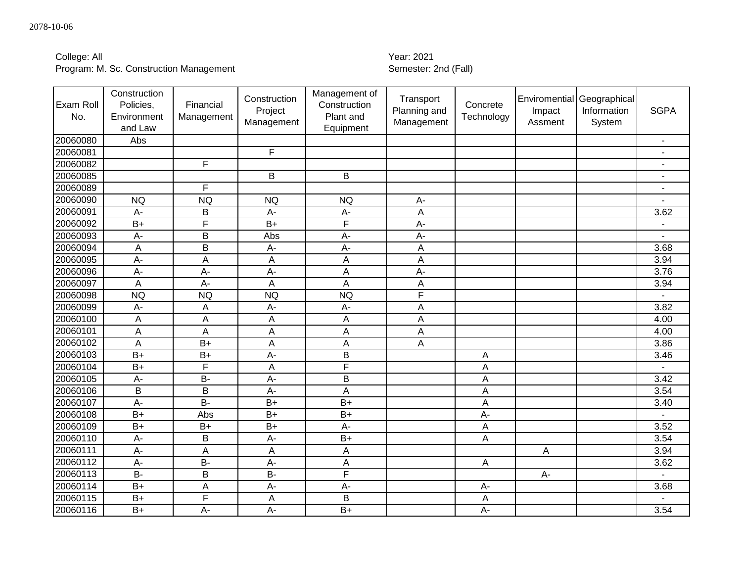| Exam Roll<br>No. | Construction<br>Policies,<br>Environment<br>and Law | Financial<br>Management | Construction<br>Project<br>Management | Management of<br>Construction<br>Plant and<br>Equipment | Transport<br>Planning and<br>Management | Concrete<br>Technology | Enviromential Geographical<br>Impact<br>Assment | Information<br>System | <b>SGPA</b>              |
|------------------|-----------------------------------------------------|-------------------------|---------------------------------------|---------------------------------------------------------|-----------------------------------------|------------------------|-------------------------------------------------|-----------------------|--------------------------|
| 20060080         | Abs                                                 |                         |                                       |                                                         |                                         |                        |                                                 |                       | $\blacksquare$           |
| 20060081         |                                                     |                         | $\overline{F}$                        |                                                         |                                         |                        |                                                 |                       |                          |
| 20060082         |                                                     | F                       |                                       |                                                         |                                         |                        |                                                 |                       | $\overline{\phantom{a}}$ |
| 20060085         |                                                     |                         | B                                     | B                                                       |                                         |                        |                                                 |                       | $\blacksquare$           |
| 20060089         |                                                     | F                       |                                       |                                                         |                                         |                        |                                                 |                       | $\sim$                   |
| 20060090         | <b>NQ</b>                                           | <b>NQ</b>               | <b>NQ</b>                             | <b>NQ</b>                                               | A-                                      |                        |                                                 |                       |                          |
| 20060091         | $A -$                                               | B                       | A-                                    | A-                                                      | A                                       |                        |                                                 |                       | 3.62                     |
| 20060092         | $B+$                                                | $\overline{F}$          | $B+$                                  | F                                                       | $A-$                                    |                        |                                                 |                       |                          |
| 20060093         | $\overline{A}$                                      | B                       | Abs                                   | A-                                                      | A-                                      |                        |                                                 |                       |                          |
| 20060094         | $\boldsymbol{\mathsf{A}}$                           | B                       | A-                                    | A-                                                      | A                                       |                        |                                                 |                       | 3.68                     |
| 20060095         | $A -$                                               | A                       | A                                     | Α                                                       | A                                       |                        |                                                 |                       | 3.94                     |
| 20060096         | A-                                                  | A-                      | A-                                    | A                                                       | A-                                      |                        |                                                 |                       | 3.76                     |
| 20060097         | $\overline{A}$                                      | $\overline{A}$ -        | A                                     | A                                                       | A                                       |                        |                                                 |                       | 3.94                     |
| 20060098         | <b>NQ</b>                                           | <b>NQ</b>               | <b>NQ</b>                             | <b>NQ</b>                                               | F                                       |                        |                                                 |                       |                          |
| 20060099         | $A -$                                               | A                       | $A-$                                  | $A-$                                                    | A                                       |                        |                                                 |                       | 3.82                     |
| 20060100         | $\overline{A}$                                      | A                       | A                                     | A                                                       | A                                       |                        |                                                 |                       | 4.00                     |
| 20060101         | A                                                   | A                       | A                                     | A                                                       | A                                       |                        |                                                 |                       | 4.00                     |
| 20060102         | $\overline{A}$                                      | $B+$                    | A                                     | Α                                                       | A                                       |                        |                                                 |                       | 3.86                     |
| 20060103         | $B+$                                                | $B+$                    | $A -$                                 | B                                                       |                                         | A                      |                                                 |                       | 3.46                     |
| 20060104         | $B+$                                                | F                       | A                                     | F                                                       |                                         | A                      |                                                 |                       |                          |
| 20060105         | $\overline{A}$                                      | $B -$                   | A-                                    | B                                                       |                                         | A                      |                                                 |                       | 3.42                     |
| 20060106         | $\overline{B}$                                      | B                       | $A -$                                 | A                                                       |                                         | A                      |                                                 |                       | 3.54                     |
| 20060107         | A-                                                  | $B -$                   | $\overline{B+}$                       | $\overline{B}$                                          |                                         | A                      |                                                 |                       | 3.40                     |
| 20060108         | $B+$                                                | Abs                     | $B+$                                  | $B+$                                                    |                                         | $A -$                  |                                                 |                       |                          |
| 20060109         | $B+$                                                | $B+$                    | $B+$                                  | A-                                                      |                                         | A                      |                                                 |                       | 3.52                     |
| 20060110         | $\overline{A}$                                      | B                       | A-                                    | $B+$                                                    |                                         | $\overline{A}$         |                                                 |                       | 3.54                     |
| 20060111         | $A -$                                               | A                       | A                                     | A                                                       |                                         |                        | A                                               |                       | 3.94                     |
| 20060112         | $A -$                                               | <b>B-</b>               | A-                                    | A                                                       |                                         | A                      |                                                 |                       | 3.62                     |
| 20060113         | $B -$                                               | B                       | $B -$                                 | F                                                       |                                         |                        | A-                                              |                       |                          |
| 20060114         | $B+$                                                | A                       | $A -$                                 | A-                                                      |                                         | $A-$                   |                                                 |                       | 3.68                     |
| 20060115         | $B+$                                                | F                       | Α                                     | B                                                       |                                         | A                      |                                                 |                       |                          |
| 20060116         | $B+$                                                | A-                      | A-                                    | $B+$                                                    |                                         | $A-$                   |                                                 |                       | 3.54                     |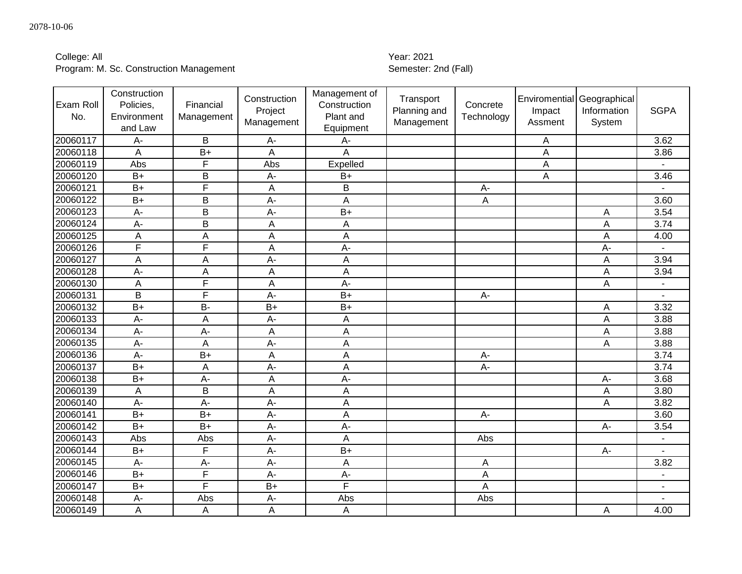| Exam Roll<br>No. | Construction<br>Policies,<br>Environment<br>and Law | Financial<br>Management | Construction<br>Project<br>Management | Management of<br>Construction<br>Plant and<br>Equipment | Transport<br>Planning and<br>Management | Concrete<br>Technology | Enviromential Geographical<br>Impact<br>Assment | Information<br>System | <b>SGPA</b>    |
|------------------|-----------------------------------------------------|-------------------------|---------------------------------------|---------------------------------------------------------|-----------------------------------------|------------------------|-------------------------------------------------|-----------------------|----------------|
| 20060117         | $A-$                                                | B                       | A-                                    | А-                                                      |                                         |                        | A                                               |                       | 3.62           |
| 20060118         | A                                                   | $B+$                    | $\overline{A}$                        | A                                                       |                                         |                        | $\overline{A}$                                  |                       | 3.86           |
| 20060119         | Abs                                                 | F                       | Abs                                   | Expelled                                                |                                         |                        | A                                               |                       |                |
| 20060120         | $B+$                                                | B                       | $A-$                                  | $B+$                                                    |                                         |                        | A                                               |                       | 3.46           |
| 20060121         | $B+$                                                | $\overline{\mathsf{F}}$ | A                                     | B                                                       |                                         | $A -$                  |                                                 |                       |                |
| 20060122         | $\overline{B+}$                                     | B                       | $A -$                                 | A                                                       |                                         | A                      |                                                 |                       | 3.60           |
| 20060123         | $A -$                                               | B                       | $A -$                                 | $B+$                                                    |                                         |                        |                                                 | A                     | 3.54           |
| 20060124         | A-                                                  | B                       | A                                     | A                                                       |                                         |                        |                                                 | A                     | 3.74           |
| 20060125         | A                                                   | A                       | A                                     | A                                                       |                                         |                        |                                                 | A                     | 4.00           |
| 20060126         | F                                                   | $\overline{\mathsf{F}}$ | A                                     | A-                                                      |                                         |                        |                                                 | $A -$                 |                |
| 20060127         | A                                                   | A                       | $A -$                                 | A                                                       |                                         |                        |                                                 | A                     | 3.94           |
| 20060128         | A-                                                  | A                       | $\overline{A}$                        | A                                                       |                                         |                        |                                                 | A                     | 3.94           |
| 20060130         | A                                                   | F                       | A                                     | A-                                                      |                                         |                        |                                                 | A                     |                |
| 20060131         | B                                                   | $\overline{\mathsf{F}}$ | $A -$                                 | $B+$                                                    |                                         | $A -$                  |                                                 |                       |                |
| 20060132         | $\overline{B+}$                                     | $B -$                   | $B+$                                  | $B+$                                                    |                                         |                        |                                                 | A                     | 3.32           |
| 20060133         | A-                                                  | A                       | $A -$                                 | A                                                       |                                         |                        |                                                 | A                     | 3.88           |
| 20060134         | A-                                                  | $A -$                   | A                                     | A                                                       |                                         |                        |                                                 | A                     | 3.88           |
| 20060135         | A-                                                  | A                       | $A -$                                 | A                                                       |                                         |                        |                                                 | A                     | 3.88           |
| 20060136         | A-                                                  | $B+$                    | A                                     | A                                                       |                                         | $A -$                  |                                                 |                       | 3.74           |
| 20060137         | $B+$                                                | A                       | $A -$                                 | A                                                       |                                         | A-                     |                                                 |                       | 3.74           |
| 20060138         | $B+$                                                | $A -$                   | A                                     | A-                                                      |                                         |                        |                                                 | $A-$                  | 3.68           |
| 20060139         | $\overline{\mathsf{A}}$                             | $\overline{B}$          | A                                     | A                                                       |                                         |                        |                                                 | A                     | 3.80           |
| 20060140         | A-                                                  | $A -$                   | $A -$                                 | A                                                       |                                         |                        |                                                 | A                     | 3.82           |
| 20060141         | $B+$                                                | $B+$                    | $A -$                                 | A                                                       |                                         | $A -$                  |                                                 |                       | 3.60           |
| 20060142         | $\overline{B+}$                                     | $B+$                    | $A -$                                 | A-                                                      |                                         |                        |                                                 | A-                    | 3.54           |
| 20060143         | Abs                                                 | Abs                     | $\overline{A}$ -                      | A                                                       |                                         | Abs                    |                                                 |                       |                |
| 20060144         | $B+$                                                | F                       | $A -$                                 | $B+$                                                    |                                         |                        |                                                 | $A -$                 |                |
| 20060145         | A-                                                  | A-                      | A-                                    | A                                                       |                                         | A                      |                                                 |                       | 3.82           |
| 20060146         | $\overline{B+}$                                     | $\overline{F}$          | $A -$                                 | A-                                                      |                                         | A                      |                                                 |                       | $\blacksquare$ |
| 20060147         | $B+$                                                | $\overline{F}$          | $B+$                                  | $\overline{F}$                                          |                                         | A                      |                                                 |                       | $\blacksquare$ |
| 20060148         | A-                                                  | Abs                     | A-                                    | Abs                                                     |                                         | Abs                    |                                                 |                       | $\sim$         |
| 20060149         | A                                                   | A                       | $\sf A$                               | A                                                       |                                         |                        |                                                 | A                     | 4.00           |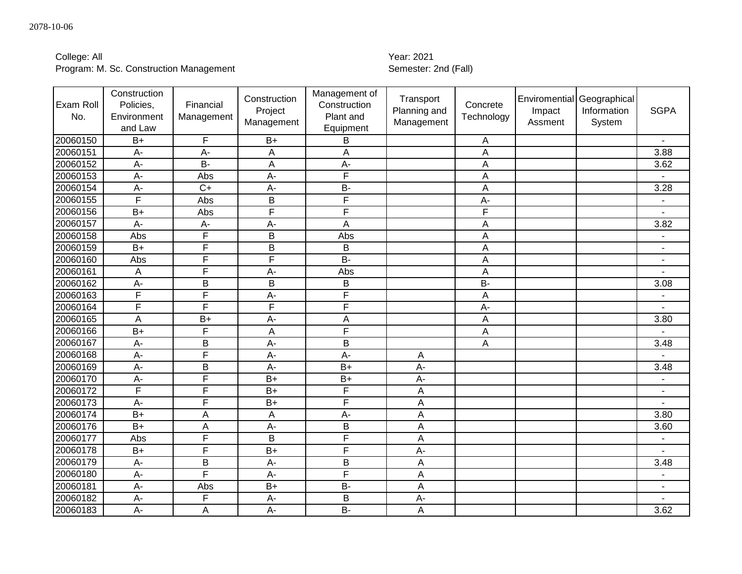| Exam Roll<br>No. | Construction<br>Policies,<br>Environment<br>and Law | Financial<br>Management | Construction<br>Project<br>Management | Management of<br>Construction<br>Plant and<br>Equipment | Transport<br>Planning and<br>Management | Concrete<br>Technology    | Enviromential<br>Impact<br>Assment | Geographical<br>Information<br>System | <b>SGPA</b>    |
|------------------|-----------------------------------------------------|-------------------------|---------------------------------------|---------------------------------------------------------|-----------------------------------------|---------------------------|------------------------------------|---------------------------------------|----------------|
| 20060150         | $B+$                                                | $\mathsf F$             | $B+$                                  | B                                                       |                                         | A                         |                                    |                                       |                |
| 20060151         | A-                                                  | A-                      | A                                     | A                                                       |                                         | A                         |                                    |                                       | 3.88           |
| 20060152         | A-                                                  | $B -$                   | A                                     | $A -$                                                   |                                         | A                         |                                    |                                       | 3.62           |
| 20060153         | $A -$                                               | Abs                     | $A -$                                 | $\overline{F}$                                          |                                         | A                         |                                    |                                       |                |
| 20060154         | A-                                                  | $\overline{C}$          | $A -$                                 | <b>B-</b>                                               |                                         | A                         |                                    |                                       | 3.28           |
| 20060155         | F                                                   | Abs                     | B                                     | $\overline{F}$                                          |                                         | $A -$                     |                                    |                                       |                |
| 20060156         | $B+$                                                | Abs                     | F                                     | F                                                       |                                         | $\overline{F}$            |                                    |                                       |                |
| 20060157         | A-                                                  | A-                      | $A -$                                 | $\overline{A}$                                          |                                         | A                         |                                    |                                       | 3.82           |
| 20060158         | Abs                                                 | F                       | B                                     | Abs                                                     |                                         | A                         |                                    |                                       |                |
| 20060159         | $\overline{B+}$                                     | F                       | B                                     | B                                                       |                                         | A                         |                                    |                                       | $\blacksquare$ |
| 20060160         | Abs                                                 | F                       | F                                     | $B -$                                                   |                                         | $\mathsf{A}$              |                                    |                                       | $\overline{a}$ |
| 20060161         | A                                                   | F                       | $A -$                                 | Abs                                                     |                                         | $\overline{A}$            |                                    |                                       |                |
| 20060162         | A-                                                  | B                       | $\overline{B}$                        | B                                                       |                                         | $B -$                     |                                    |                                       | 3.08           |
| 20060163         | F                                                   | F                       | A-                                    | $\overline{F}$                                          |                                         | $\boldsymbol{\mathsf{A}}$ |                                    |                                       | $\blacksquare$ |
| 20060164         | F                                                   | F                       | $\overline{F}$                        | $\overline{F}$                                          |                                         | $A -$                     |                                    |                                       |                |
| 20060165         | A                                                   | $B+$                    | $A -$                                 | A                                                       |                                         | A                         |                                    |                                       | 3.80           |
| 20060166         | $B+$                                                | F                       | A                                     | $\overline{F}$                                          |                                         | A                         |                                    |                                       | L,             |
| 20060167         | A-                                                  | B                       | $A -$                                 | B                                                       |                                         | A                         |                                    |                                       | 3.48           |
| 20060168         | A-                                                  | F                       | $\overline{A}$                        | $A -$                                                   | A                                       |                           |                                    |                                       |                |
| 20060169         | A-                                                  | B                       | A-                                    | $B+$                                                    | $A -$                                   |                           |                                    |                                       | 3.48           |
| 20060170         | $A -$                                               | F                       | $B+$                                  | $B+$                                                    | $A -$                                   |                           |                                    |                                       |                |
| 20060172         | F                                                   | F                       | $\overline{B+}$                       | F                                                       | A                                       |                           |                                    |                                       | $\sim$         |
| 20060173         | $A -$                                               | F                       | $\overline{B+}$                       | F                                                       | A                                       |                           |                                    |                                       |                |
| 20060174         | $\overline{B}$                                      | A                       | $\overline{A}$                        | $A -$                                                   | A                                       |                           |                                    |                                       | 3.80           |
| 20060176         | $B+$                                                | A                       | $A -$                                 | B                                                       | Α                                       |                           |                                    |                                       | 3.60           |
| 20060177         | Abs                                                 | F                       | B                                     | F                                                       | A                                       |                           |                                    |                                       |                |
| 20060178         | $B+$                                                | F                       | $B+$                                  | F                                                       | $A -$                                   |                           |                                    |                                       |                |
| 20060179         | A-                                                  | B                       | A-                                    | B                                                       | A                                       |                           |                                    |                                       | 3.48           |
| 20060180         | $A -$                                               | F                       | $A -$                                 | $\overline{F}$                                          | A                                       |                           |                                    |                                       | $\sim$         |
| 20060181         | A-                                                  | Abs                     | $B+$                                  | $B -$                                                   | A                                       |                           |                                    |                                       | $\blacksquare$ |
| 20060182         | A-                                                  | F                       | $A -$                                 | B                                                       | $A -$                                   |                           |                                    |                                       |                |
| 20060183         | A-                                                  | A                       | A-                                    | $B -$                                                   | A                                       |                           |                                    |                                       | 3.62           |